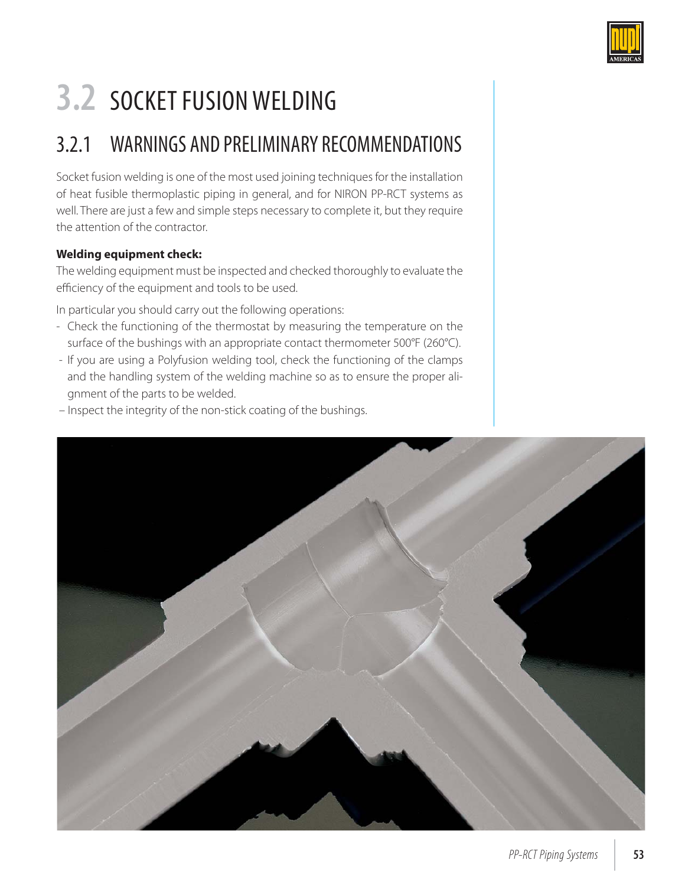

# **3.2** SOCKET FUSION WELDING

### 3.2.1 WARNINGS AND PRELIMINARY RECOMMENDATIONS

Socket fusion welding is one of the most used joining techniques for the installation of heat fusible thermoplastic piping in general, and for NIRON PP-RCT systems as well. There are just a few and simple steps necessary to complete it, but they require the attention of the contractor.

#### **Welding equipment check:**

The welding equipment must be inspected and checked thoroughly to evaluate the efficiency of the equipment and tools to be used.

In particular you should carry out the following operations:

- Check the functioning of the thermostat by measuring the temperature on the surface of the bushings with an appropriate contact thermometer 500°F (260°C).
- If you are using a Polyfusion welding tool, check the functioning of the clamps and the handling system of the welding machine so as to ensure the proper alignment of the parts to be welded.
- Inspect the integrity of the non-stick coating of the bushings.

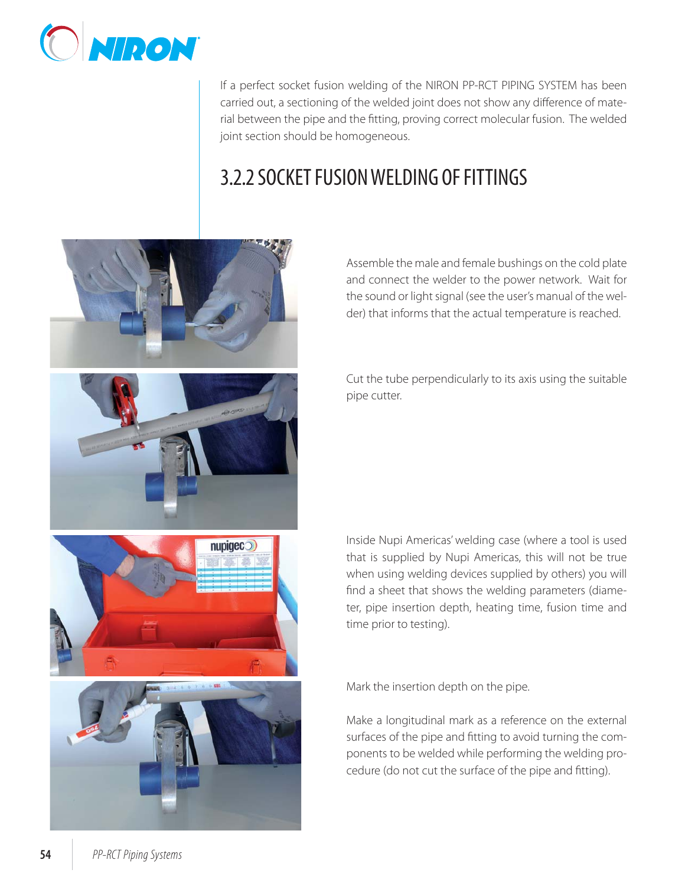

If a perfect socket fusion welding of the NIRON PP-RCT PIPING SYSTEM has been carried out, a sectioning of the welded joint does not show any difference of material between the pipe and the fitting, proving correct molecular fusion. The welded joint section should be homogeneous.

### 3.2.2 SOCKET FUSION WELDING OF FITTINGS



Assemble the male and female bushings on the cold plate and connect the welder to the power network. Wait for the sound or light signal (see the user's manual of the welder) that informs that the actual temperature is reached.

Cut the tube perpendicularly to its axis using the suitable pipe cutter.

Inside Nupi Americas' welding case (where a tool is used that is supplied by Nupi Americas, this will not be true when using welding devices supplied by others) you will find a sheet that shows the welding parameters (diameter, pipe insertion depth, heating time, fusion time and time prior to testing).

Mark the insertion depth on the pipe.

Make a longitudinal mark as a reference on the external surfaces of the pipe and fitting to avoid turning the components to be welded while performing the welding procedure (do not cut the surface of the pipe and fitting).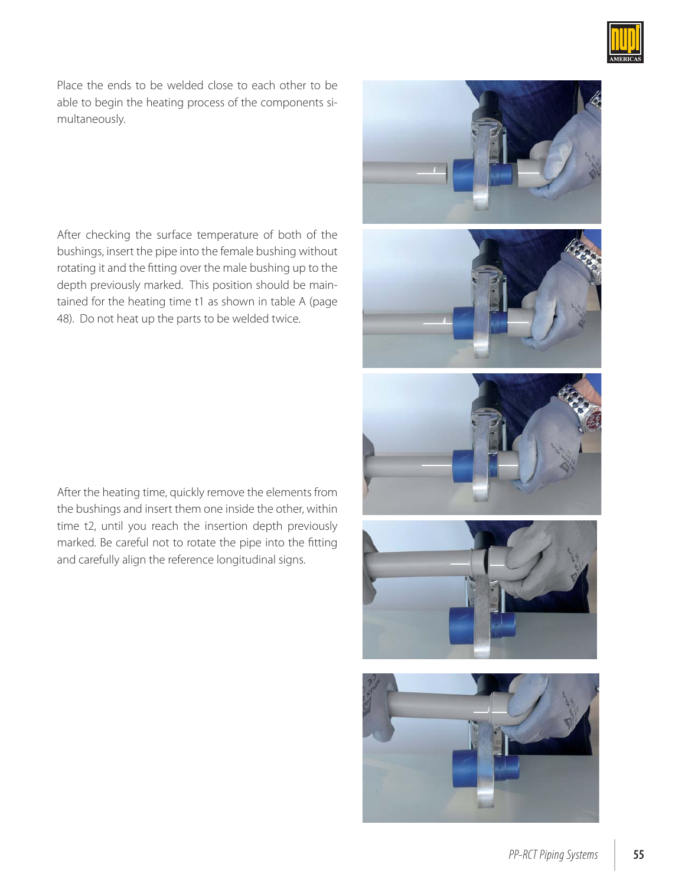

Place the ends to be welded close to each other to be able to begin the heating process of the components simultaneously.

After checking the surface temperature of both of the bushings, insert the pipe into the female bushing without rotating it and the fitting over the male bushing up to the depth previously marked. This position should be maintained for the heating time t1 as shown in table A (page 48). Do not heat up the parts to be welded twice.

After the heating time, quickly remove the elements from the bushings and insert them one inside the other, within time t2, until you reach the insertion depth previously marked. Be careful not to rotate the pipe into the fitting and carefully align the reference longitudinal signs.